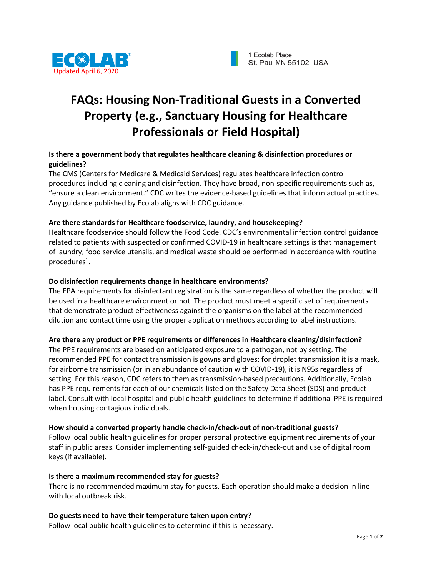

# **FAQs: Housing Non-Traditional Guests in a Converted Property (e.g., Sanctuary Housing for Healthcare Professionals or Field Hospital)**

### **Is there a government body that regulates healthcare cleaning & disinfection procedures or guidelines?**

The CMS (Centers for Medicare & Medicaid Services) regulates healthcare infection control procedures including cleaning and disinfection. They have broad, non-specific requirements such as, "ensure a clean environment." CDC writes the evidence-based guidelines that inform actual practices. Any guidance published by Ecolab aligns with CDC guidance.

### **Are there standards for Healthcare foodservice, laundry, and housekeeping?**

Healthcare foodservice should follow the Food Code. CDC's environmental infection control guidance related to patients with suspected or confirmed COVID-19 in healthcare settings is that management of laundry, food service utensils, and medical waste should be performed in accordance with routine procedures<sup>1</sup>.

#### **Do disinfection requirements change in healthcare environments?**

The EPA requirements for disinfectant registration is the same regardless of whether the product will be used in a healthcare environment or not. The product must meet a specific set of requirements that demonstrate product effectiveness against the organisms on the label at the recommended dilution and contact time using the proper application methods according to label instructions.

## **Are there any product or PPE requirements or differences in Healthcare cleaning/disinfection?**

The PPE requirements are based on anticipated exposure to a pathogen, not by setting. The recommended PPE for contact transmission is gowns and gloves; for droplet transmission it is a mask, for airborne transmission (or in an abundance of caution with COVID-19), it is N95s regardless of setting. For this reason, CDC refers to them as transmission-based precautions. Additionally, Ecolab has PPE requirements for each of our chemicals listed on the Safety Data Sheet (SDS) and product label. Consult with local hospital and public health guidelines to determine if additional PPE is required when housing contagious individuals.

#### **How should a converted property handle check-in/check-out of non-traditional guests?**

Follow local public health guidelines for proper personal protective equipment requirements of your staff in public areas. Consider implementing self-guided check-in/check-out and use of digital room keys (if available).

#### **Is there a maximum recommended stay for guests?**

There is no recommended maximum stay for guests. Each operation should make a decision in line with local outbreak risk.

#### **Do guests need to have their temperature taken upon entry?**

Follow local public health guidelines to determine if this is necessary.